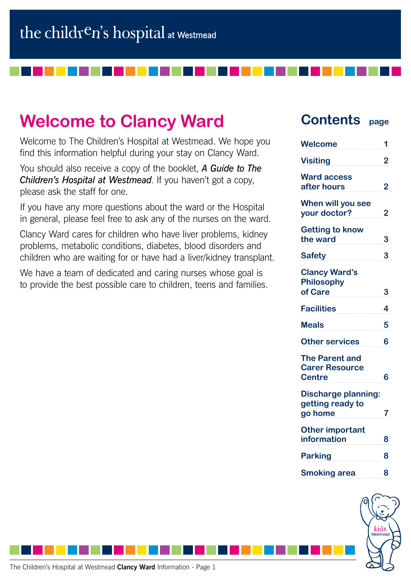# **Welcome to Clancy Ward**

Welcome to The Children's Hospital at Westmead. We hope you find this information helpful during your stay on Clancy Ward.

You should also receive a copy of the booklet, *A Guide to The Children's Hospital at Westmead*. If you haven't got a copy, please ask the staff for one.

If you have any more questions about the ward or the Hospital in general, please feel free to ask any of the nurses on the ward.

Clancy Ward cares for children who have liver problems, kidney problems, metabolic conditions, diabetes, blood disorders and children who are waiting for or have had a liver/kidney transplant.

We have a team of dedicated and caring nurses whose goal is to provide the best possible care to children, teens and families.

## **Contents page**

| <b>Welcome</b>                                                  | 1 |
|-----------------------------------------------------------------|---|
| <b>Visiting</b>                                                 | 2 |
| <b>Ward access</b><br>after hours                               | 2 |
| When will you see<br>your doctor?                               | 2 |
| <b>Getting to know</b><br>the ward                              | 3 |
| <b>Safety</b>                                                   | 3 |
| <b>Clancy Ward's</b><br><b>Philosophy</b><br>of Care            | 3 |
| <b>Facilities</b>                                               | 4 |
| <b>Meals</b>                                                    | 5 |
| <b>Other services</b>                                           | 6 |
| <b>The Parent and</b><br><b>Carer Resource</b><br><b>Centre</b> | 6 |
| <b>Discharge planning:</b><br>getting ready to<br>go home       | 7 |
| <b>Other important</b><br>information                           | 8 |
| <b>Parking</b>                                                  | 8 |
| <b>Smoking area</b>                                             | 8 |
|                                                                 |   |

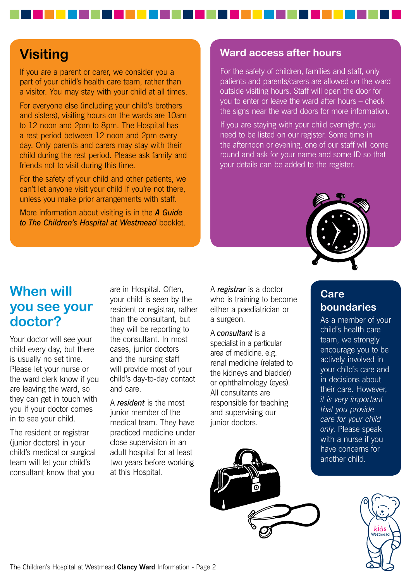## **Visiting**

If you are a parent or carer, we consider you a part of your child's health care team, rather than a visitor. You may stay with your child at all times.

For everyone else (including your child's brothers and sisters), visiting hours on the wards are 10am to 12 noon and 2pm to 8pm. The Hospital has a rest period between 12 noon and 2pm every day. Only parents and carers may stay with their child during the rest period. Please ask family and friends not to visit during this time.

For the safety of your child and other patients, we can't let anyone visit your child if you're not there, unless you make prior arrangements with staff.

More information about visiting is in the *A Guide to The Children's Hospital at Westmead* booklet.

### **Ward access after hours**

For the safety of children, families and staff, only patients and parents/carers are allowed on the ward outside visiting hours. Staff will open the door for you to enter or leave the ward after hours – check the signs near the ward doors for more information.

If you are staying with your child overnight, you need to be listed on our register. Some time in the afternoon or evening, one of our staff will come round and ask for your name and some ID so that your details can be added to the register.



## **When will you see your doctor?**

Your doctor will see your child every day, but there is usually no set time. Please let your nurse or the ward clerk know if you are leaving the ward, so they can get in touch with you if your doctor comes in to see your child.

The resident or registrar (junior doctors) in your child's medical or surgical team will let your child's consultant know that you

are in Hospital. Often, your child is seen by the resident or registrar, rather than the consultant, but they will be reporting to the consultant. In most cases, junior doctors and the nursing staff will provide most of your child's day-to-day contact and care.

A *resident* is the most junior member of the medical team. They have practiced medicine under close supervision in an adult hospital for at least two years before working at this Hospital.

A *registrar* is a doctor who is training to become either a paediatrician or a surgeon.

A *consultant* is a specialist in a particular area of medicine, e.g. renal medicine (related to the kidneys and bladder) or ophthalmology (eyes). All consultants are responsible for teaching and supervising our junior doctors.

## **Care boundaries**

As a member of your child's health care team, we strongly encourage you to be actively involved in your child's care and in decisions about their care. However, *it is very important that you provide care for your child only*. Please speak with a nurse if you have concerns for another child.

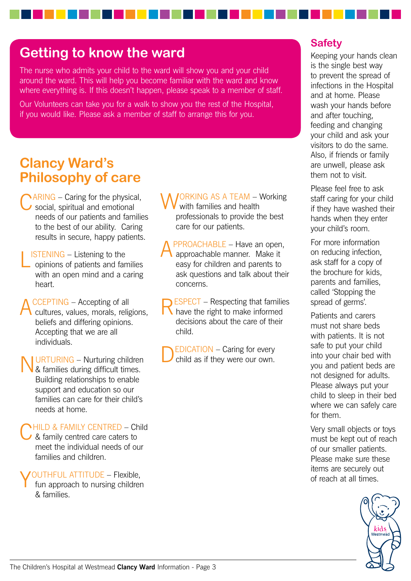## **Getting to know the ward**

The nurse who admits your child to the ward will show you and your child around the ward. This will help you become familiar with the ward and know where everything is. If this doesn't happen, please speak to a member of staff.

Our Volunteers can take you for a walk to show you the rest of the Hospital, if you would like. Please ask a member of staff to arrange this for you.

## **Clancy Ward's Philosophy of care**

- $\Delta RING Caring$  for the physical, social, spiritual and emotional needs of our patients and families to the best of our ability. Caring results in secure, happy patients.
- LISTENING Listening to the opinions of patients and families with an open mind and a caring heart.
- CCEPTING Accepting of all cultures, values, morals, religions, beliefs and differing opinions. Accepting that we are all individuals.
- URTURING Nurturing children & families during difficult times. Building relationships to enable support and education so our families can care for their child's needs at home.

**NHILD & FAMILY CENTRED – Child** & family centred care caters to meet the individual needs of our families and children.

**YOUTHFUL ATTITUDE - Flexible,**<br>fun approach to nursing children & families.

**JORKING AS A TEAM – Working** with families and health professionals to provide the best care for our patients.

PPROACHABLE – Have an open, approachable manner. Make it easy for children and parents to ask questions and talk about their concerns.

RESPECT – Respecting that families have the right to make informed decisions about the care of their child.

 $EDICATION - Caring for every$ child as if they were our own.

### **Safety**

Keeping your hands clean is the single best way to prevent the spread of infections in the Hospital and at home. Please wash your hands before and after touching, feeding and changing your child and ask your visitors to do the same. Also, if friends or family are unwell, please ask them not to visit.

Please feel free to ask staff caring for your child if they have washed their hands when they enter your child's room.

For more information on reducing infection, ask staff for a copy of the brochure for kids, parents and families, called 'Stopping the spread of germs'.

Patients and carers must not share beds with patients. It is not safe to put your child into your chair bed with you and patient beds are not designed for adults. Please always put your child to sleep in their bed where we can safely care for them.

Very small objects or toys must be kept out of reach of our smaller patients. Please make sure these items are securely out of reach at all times.

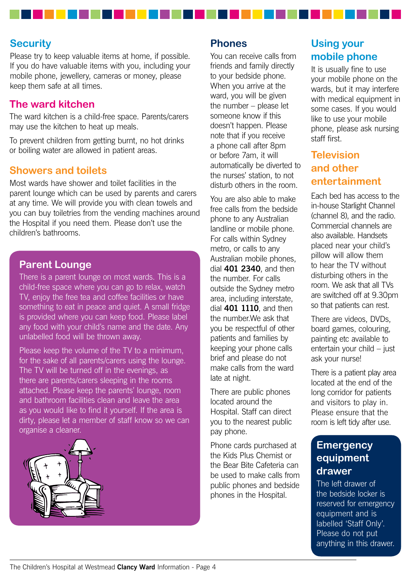### **Security**

Please try to keep valuable items at home, if possible. If you do have valuable items with you, including your mobile phone, jewellery, cameras or money, please keep them safe at all times.

### **The ward kitchen**

The ward kitchen is a child-free space. Parents/carers may use the kitchen to heat up meals.

To prevent children from getting burnt, no hot drinks or boiling water are allowed in patient areas.

#### **Showers and toilets**

Most wards have shower and toilet facilities in the parent lounge which can be used by parents and carers at any time. We will provide you with clean towels and you can buy toiletries from the vending machines around the Hospital if you need them. Please don't use the children's bathrooms.

#### **Parent Lounge**

There is a parent lounge on most wards. This is a child-free space where you can go to relax, watch TV, enjoy the free tea and coffee facilities or have something to eat in peace and quiet. A small fridge is provided where you can keep food. Please label any food with your child's name and the date. Any unlabelled food will be thrown away.

Please keep the volume of the TV to a minimum, for the sake of all parents/carers using the lounge. The TV will be turned off in the evenings, as there are parents/carers sleeping in the rooms attached. Please keep the parents' lounge, room and bathroom facilities clean and leave the area as you would like to find it yourself. If the area is dirty, please let a member of staff know so we can organise a cleaner.



#### **Phones**

You can receive calls from friends and family directly to your bedside phone. When you arrive at the ward, you will be given the number – please let someone know if this doesn't happen. Please note that if you receive a phone call after 8pm or before 7am, it will automatically be diverted to the nurses' station, to not disturb others in the room.

You are also able to make free calls from the bedside phone to any Australian landline or mobile phone. For calls within Sydney metro, or calls to any Australian mobile phones, dial **401 2340**, and then the number. For calls outside the Sydney metro area, including interstate, dial **401 1110**, and then the number.We ask that you be respectful of other patients and families by keeping your phone calls brief and please do not make calls from the ward late at night.

There are public phones located around the Hospital. Staff can direct you to the nearest public pay phone.

Phone cards purchased at the Kids Plus Chemist or the Bear Bite Cafeteria can be used to make calls from public phones and bedside phones in the Hospital.

## **Using your mobile phone**

It is usually fine to use your mobile phone on the wards, but it may interfere with medical equipment in some cases. If you would like to use your mobile phone, please ask nursing staff first.

### **Television and other entertainment**

Each bed has access to the in-house Starlight Channel (channel 8), and the radio. Commercial channels are also available. Handsets placed near your child's pillow will allow them to hear the TV without disturbing others in the room. We ask that all TVs are switched off at 9.30pm so that patients can rest.

There are videos, DVDs, board games, colouring, painting etc available to entertain your child – just ask your nurse!

There is a patient play area located at the end of the long corridor for patients and visitors to play in. Please ensure that the room is left tidy after use.

### **Emergency equipment drawer**

The left drawer of the bedside locker is reserved for emergency equipment and is labelled 'Staff Only'. Please do not put anything in this drawer.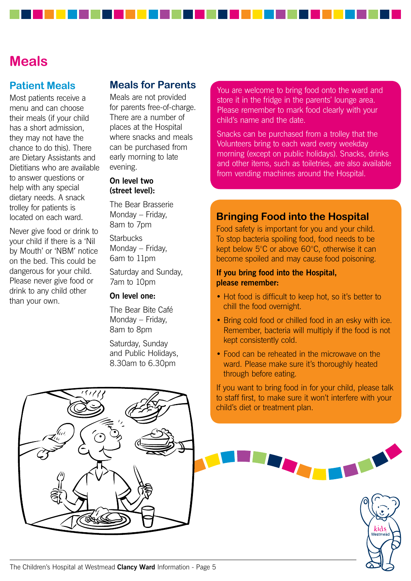## **Meals**

### **Patient Meals**

Most patients receive a menu and can choose their meals (if your child has a short admission, they may not have the chance to do this). There are Dietary Assistants and Dietitians who are available to answer questions or help with any special dietary needs. A snack trolley for patients is located on each ward.

Never give food or drink to your child if there is a 'Nil by Mouth' or 'NBM' notice on the bed. This could be dangerous for your child. Please never give food or drink to any child other than your own.

### **Meals for Parents**

Meals are not provided for parents free-of-charge. There are a number of places at the Hospital where snacks and meals can be purchased from early morning to late evening.

#### **On level two (street level):**

The Bear Brasserie Monday – Friday, 8am to 7pm

**Starbucks** Monday – Friday, 6am to 11pm

Saturday and Sunday, 7am to 10pm

#### **On level one:**

The Bear Bite Café Monday – Friday, 8am to 8pm

Saturday, Sunday and Public Holidays, 8.30am to 6.30pm

You are welcome to bring food onto the ward and store it in the fridge in the parents' lounge area. Please remember to mark food clearly with your child's name and the date.

Snacks can be purchased from a trolley that the Volunteers bring to each ward every weekday morning (except on public holidays). Snacks, drinks and other items, such as toiletries, are also available from vending machines around the Hospital.

### **Bringing Food into the Hospital**

Food safety is important for you and your child. To stop bacteria spoiling food, food needs to be kept below 5°C or above 60°C, otherwise it can become spoiled and may cause food poisoning.

#### **If you bring food into the Hospital, please remember:**

- Hot food is difficult to keep hot, so it's better to chill the food overnight.
- Bring cold food or chilled food in an esky with ice. Remember, bacteria will multiply if the food is not kept consistently cold.
- Food can be reheated in the microwave on the ward. Please make sure it's thoroughly heated through before eating.

If you want to bring food in for your child, please talk to staff first, to make sure it won't interfere with your child's diet or treatment plan.

kid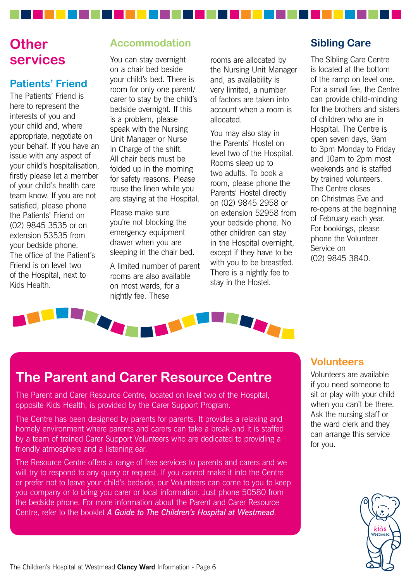## **Other services**

## **Patients' Friend**

The Patients' Friend is here to represent the interests of you and your child and, where appropriate, negotiate on your behalf. If you have an issue with any aspect of your child's hospitalisation, firstly please let a member of your child's health care team know. If you are not satisfied, please phone the Patients' Friend on (02) 9845 3535 or on extension 53535 from your bedside phone. The office of the Patient's Friend is on level two of the Hospital, next to Kids Health.

## **Accommodation**

You can stay overnight on a chair bed beside your child's bed. There is room for only one parent/ carer to stay by the child's bedside overnight. If this is a problem, please speak with the Nursing Unit Manager or Nurse in Charge of the shift. All chair beds must be folded up in the morning for safety reasons. Please reuse the linen while you are staying at the Hospital.

Please make sure you're not blocking the emergency equipment drawer when you are sleeping in the chair bed.

A limited number of parent rooms are also available on most wards, for a nightly fee. These

rooms are allocated by the Nursing Unit Manager and, as availability is very limited, a number of factors are taken into account when a room is allocated.

You may also stay in the Parents' Hostel on level two of the Hospital. Rooms sleep up to two adults. To book a room, please phone the Parents' Hostel directly on (02) 9845 2958 or on extension 52958 from your bedside phone. No other children can stay in the Hospital overnight, except if they have to be with you to be breastfed. There is a nightly fee to stay in the Hostel.

### **Sibling Care**

The Sibling Care Centre is located at the bottom of the ramp on level one. For a small fee, the Centre can provide child-minding for the brothers and sisters of children who are in Hospital. The Centre is open seven days, 9am to 3pm Monday to Friday and 10am to 2pm most weekends and is staffed by trained volunteers. The Centre closes on Christmas Eve and re-opens at the beginning of February each year. For bookings, please phone the Volunteer Service on (02) 9845 3840.



## **The Parent and Carer Resource Centre**

The Parent and Carer Resource Centre, located on level two of the Hospital, opposite Kids Health, is provided by the Carer Support Program.

The Centre has been designed by parents for parents. It provides a relaxing and homely environment where parents and carers can take a break and it is staffed by a team of trained Carer Support Volunteers who are dedicated to providing a friendly atmosphere and a listening ear.

The Resource Centre offers a range of free services to parents and carers and we will try to respond to any query or request. If you cannot make it into the Centre or prefer not to leave your child's bedside, our Volunteers can come to you to keep you company or to bring you carer or local information. Just phone 50580 from the bedside phone. For more information about the Parent and Carer Resource Centre, refer to the booklet *A Guide to The Children's Hospital at Westmead*.

### **Volunteers**

Volunteers are available if you need someone to sit or play with your child when you can't be there. Ask the nursing staff or the ward clerk and they can arrange this service for you.

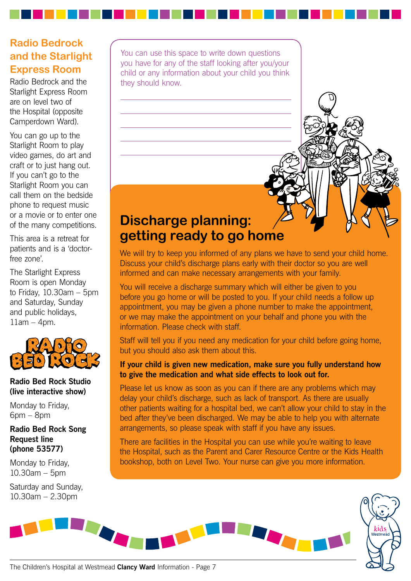## **Radio Bedrock and the Starlight Express Room**

Radio Bedrock and the Starlight Express Room are on level two of the Hospital (opposite Camperdown Ward).

You can go up to the Starlight Room to play video games, do art and craft or to just hang out. If you can't go to the Starlight Room you can call them on the bedside phone to request music or a movie or to enter one of the many competitions.

This area is a retreat for patients and is a 'doctorfree zone'.

The Starlight Express Room is open Monday to Friday, 10.30am – 5pm and Saturday, Sunday and public holidays,  $11$ am – 4pm.



#### **Radio Bed Rock Studio (live interactive show)**

Monday to Friday, 6pm – 8pm

**Radio Bed Rock Song Request line (phone 53577)**

Monday to Friday, 10.30am – 5pm

Saturday and Sunday, 10.30am – 2.30pm

You can use this space to write down questions you have for any of the staff looking after you/your child or any information about your child you think they should know.

## **Discharge planning: getting ready to go home**

We will try to keep you informed of any plans we have to send your child home. Discuss your child's discharge plans early with their doctor so you are well informed and can make necessary arrangements with your family.

You will receive a discharge summary which will either be given to you before you go home or will be posted to you. If your child needs a follow up appointment, you may be given a phone number to make the appointment, or we may make the appointment on your behalf and phone you with the information. Please check with staff.

Staff will tell you if you need any medication for your child before going home, but you should also ask them about this.

#### **If your child is given new medication, make sure you fully understand how to give the medication and what side effects to look out for.**

Please let us know as soon as you can if there are any problems which may delay your child's discharge, such as lack of transport. As there are usually other patients waiting for a hospital bed, we can't allow your child to stay in the bed after they've been discharged. We may be able to help you with alternate arrangements, so please speak with staff if you have any issues.

There are facilities in the Hospital you can use while you're waiting to leave the Hospital, such as the Parent and Carer Resource Centre or the Kids Health bookshop, both on Level Two. Your nurse can give you more information.